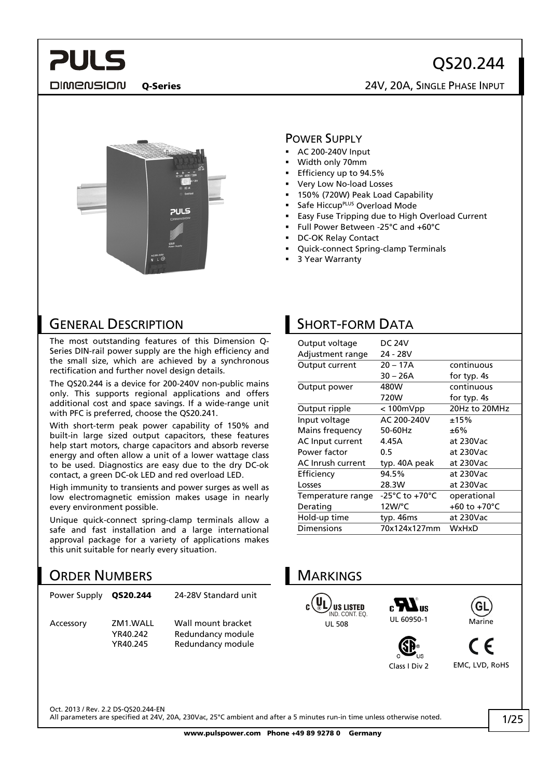# QS20.244

Q-Series 24V, 20A, SINGLE PHASE INPUT



### POWER SUPPLY

- AC 200-240V Input
- Width only 70mm
- Efficiency up to 94.5%
- Very Low No-load Losses
- 150% (720W) Peak Load Capability
- Safe Hiccup<sup>PLUS</sup> Overload Mode
- Easy Fuse Tripping due to High Overload Current
- Full Power Between -25°C and +60°C
- DC-OK Relay Contact
- Quick-connect Spring-clamp Terminals
- 3 Year Warranty

## GENERAL DESCRIPTION

**PULS** 

DIMENSION

The most outstanding features of this Dimension Q-Series DIN-rail power supply are the high efficiency and the small size, which are achieved by a synchronous rectification and further novel design details.

The QS20.244 is a device for 200-240V non-public mains only. This supports regional applications and offers additional cost and space savings. If a wide-range unit with PFC is preferred, choose the QS20.241.

With short-term peak power capability of 150% and built-in large sized output capacitors, these features help start motors, charge capacitors and absorb reverse energy and often allow a unit of a lower wattage class to be used. Diagnostics are easy due to the dry DC-ok contact, a green DC-ok LED and red overload LED.

High immunity to transients and power surges as well as low electromagnetic emission makes usage in nearly every environment possible.

Unique quick-connect spring-clamp terminals allow a safe and fast installation and a large international approval package for a variety of applications makes this unit suitable for nearly every situation.

## ORDER NUMBERS

| Power Supply | OS20.244                         | 24-28V Standard unit                                         |
|--------------|----------------------------------|--------------------------------------------------------------|
| Accessory    | ZM1.WALL<br>YR40.242<br>YR40.245 | Wall mount bracket<br>Redundancy module<br>Redundancy module |

## SHORT-FORM DATA

| Output voltage    | <b>DC 24V</b>    |               |
|-------------------|------------------|---------------|
| Adjustment range  | 24 - 28V         |               |
| Output current    | $20 - 17A$       | continuous    |
|                   | $30 - 26A$       | for typ. 4s   |
| Output power      | 480W             | continuous    |
|                   | 720W             | for typ. 4s   |
| Output ripple     | $< 100$ m $V$ pp | 20Hz to 20MHz |
| Input voltage     | AC 200-240V      | ±15%          |
| Mains frequency   | 50-60Hz          | ±6%           |
| AC Input current  | 4.45A            | at 230Vac     |
| Power factor      | 0.5              | at 230Vac     |
| AC Inrush current | typ. 40A peak    | at 230Vac     |
| Efficiency        | 94.5%            | at 230Vac     |
| Losses            | 28.3W            | at 230Vac     |
| Temperature range | -25°C to +70°C   | operational   |
| Derating          | 12W/°C           | +60 to +70°C  |
| Hold-up time      | typ. 46ms        | at 230Vac     |
| Dimensions        | 70x124x127mm     | WxHxD         |

# **MARKINGS**









Class I Div 2 EMC, LVD, RoHS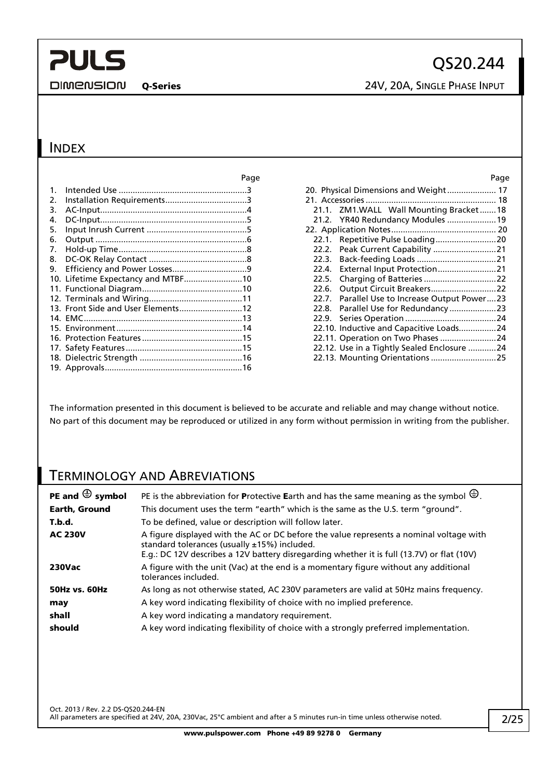**DIMENSION** 

### INDEX

|    |                                    | Page | Page                                          |
|----|------------------------------------|------|-----------------------------------------------|
|    |                                    |      | 20. Physical Dimensions and Weight 17         |
| 2. |                                    |      |                                               |
| 3. |                                    |      | 21.1. ZM1.WALL Wall Mounting Bracket18        |
| 4. |                                    |      | 21.2. YR40 Redundancy Modules  19             |
| 5. |                                    |      |                                               |
| 6. |                                    |      |                                               |
| 7. |                                    |      |                                               |
| 8. |                                    |      | 22.3.                                         |
| 9. |                                    |      |                                               |
|    | 10. Lifetime Expectancy and MTBF10 |      | 22.5.                                         |
|    |                                    |      |                                               |
|    |                                    |      | 22.7. Parallel Use to Increase Output Power23 |
|    | 13. Front Side and User Elements12 |      |                                               |
|    |                                    |      | 22.9.                                         |
|    |                                    |      | 22.10. Inductive and Capacitive Loads24       |
|    |                                    |      | 22.11. Operation on Two Phases 24             |
|    |                                    |      | 22.12. Use in a Tightly Sealed Enclosure 24   |
|    |                                    |      | 22.13. Mounting Orientations  25              |
|    |                                    |      |                                               |

The information presented in this document is believed to be accurate and reliable and may change without notice. No part of this document may be reproduced or utilized in any form without permission in writing from the publisher.

## TERMINOLOGY AND ABREVIATIONS

| PE and $\bigoplus$ symbol | PE is the abbreviation for Protective Earth and has the same meaning as the symbol $\bigoplus$ .                                                                                                                                          |
|---------------------------|-------------------------------------------------------------------------------------------------------------------------------------------------------------------------------------------------------------------------------------------|
| Earth, Ground             | This document uses the term "earth" which is the same as the U.S. term "ground".                                                                                                                                                          |
| T.b.d.                    | To be defined, value or description will follow later.                                                                                                                                                                                    |
| <b>AC 230V</b>            | A figure displayed with the AC or DC before the value represents a nominal voltage with<br>standard tolerances (usually $±15\%$ ) included.<br>E.g.: DC 12V describes a 12V battery disregarding whether it is full (13.7V) or flat (10V) |
| <b>230Vac</b>             | A figure with the unit (Vac) at the end is a momentary figure without any additional<br>tolerances included.                                                                                                                              |
| <b>50Hz vs. 60Hz</b>      | As long as not otherwise stated, AC 230V parameters are valid at 50Hz mains frequency.                                                                                                                                                    |
| may                       | A key word indicating flexibility of choice with no implied preference.                                                                                                                                                                   |
| shall                     | A key word indicating a mandatory requirement.                                                                                                                                                                                            |
| should                    | A key word indicating flexibility of choice with a strongly preferred implementation.                                                                                                                                                     |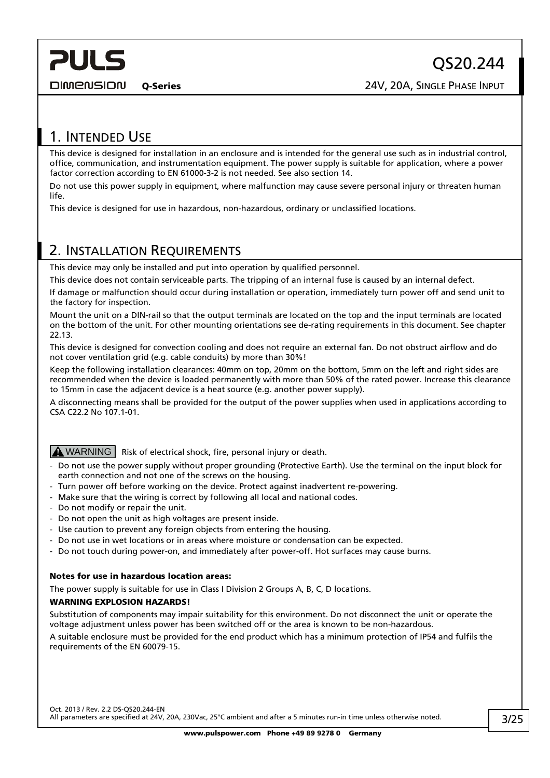<span id="page-2-0"></span>**DIMENSION** 

## 1. INTENDED USE

This device is designed for installation in an enclosure and is intended for the general use such as in industrial control, office, communication, and instrumentation equipment. The power supply is suitable for application, where a power factor correction according to EN 61000-3-2 is not needed. See also section [14.](#page-12-1)

Do not use this power supply in equipment, where malfunction may cause severe personal injury or threaten human life.

This device is designed for use in hazardous, non-hazardous, ordinary or unclassified locations.

## <span id="page-2-1"></span>2. INSTALLATION REQUIREMENTS

This device may only be installed and put into operation by qualified personnel.

This device does not contain serviceable parts. The tripping of an internal fuse is caused by an internal defect.

If damage or malfunction should occur during installation or operation, immediately turn power off and send unit to the factory for inspection.

Mount the unit on a DIN-rail so that the output terminals are located on the top and the input terminals are located on the bottom of the unit. For other mounting orientations see de-rating requirements in this document. See chapter [22.13](#page-24-1).

This device is designed for convection cooling and does not require an external fan. Do not obstruct airflow and do not cover ventilation grid (e.g. cable conduits) by more than 30%!

Keep the following installation clearances: 40mm on top, 20mm on the bottom, 5mm on the left and right sides are recommended when the device is loaded permanently with more than 50% of the rated power. Increase this clearance to 15mm in case the adjacent device is a heat source (e.g. another power supply).

A disconnecting means shall be provided for the output of the power supplies when used in applications according to CSA C22.2 No 107.1-01.

#### $\Delta$  WARNING  $\vert$  Risk of electrical shock, fire, personal injury or death.

- Do not use the power supply without proper grounding (Protective Earth). Use the terminal on the input block for earth connection and not one of the screws on the housing.
- Turn power off before working on the device. Protect against inadvertent re-powering.
- Make sure that the wiring is correct by following all local and national codes.
- Do not modify or repair the unit.
- Do not open the unit as high voltages are present inside.
- Use caution to prevent any foreign objects from entering the housing.
- Do not use in wet locations or in areas where moisture or condensation can be expected.
- Do not touch during power-on, and immediately after power-off. Hot surfaces may cause burns.

#### Notes for use in hazardous location areas:

The power supply is suitable for use in Class I Division 2 Groups A, B, C, D locations.

#### WARNING EXPLOSION HAZARDS!

Substitution of components may impair suitability for this environment. Do not disconnect the unit or operate the voltage adjustment unless power has been switched off or the area is known to be non-hazardous.

A suitable enclosure must be provided for the end product which has a minimum protection of IP54 and fulfils the requirements of the EN 60079-15.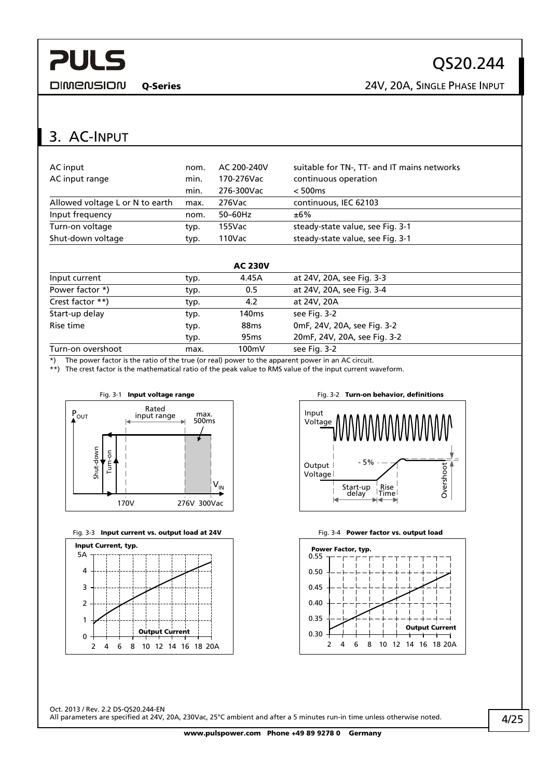<span id="page-3-0"></span>**DIMENSION** 

QS20.244

Q-Series 24V, 20A, SINGLE PHASE INPUT

## 3. AC-INPUT

| AC input                        | nom. | AC 200-240V | suitable for TN-, TT- and IT mains networks |
|---------------------------------|------|-------------|---------------------------------------------|
| AC input range                  | min. | 170-276Vac  | continuous operation                        |
|                                 | min. | 276-300Vac  | < 500ms                                     |
| Allowed voltage L or N to earth | max. | 276Vac      | continuous, IEC 62103                       |
| Input frequency                 | nom. | $50-60$ Hz  | ±6%                                         |
| Turn-on voltage                 | typ. | 155Vac      | steady-state value, see Fig. 3-1            |
| Shut-down voltage               | typ. | 110Vac      | steady-state value, see Fig. 3-1            |
|                                 |      |             |                                             |

|                   |      | <b>AC 230V</b>   |                              |  |
|-------------------|------|------------------|------------------------------|--|
| Input current     | typ. | 4.45A            | at 24V, 20A, see Fig. 3-3    |  |
| Power factor *)   | typ. | 0.5              | at 24V, 20A, see Fig. 3-4    |  |
| Crest factor **)  | typ. | 4.2              | at 24V, 20A                  |  |
| Start-up delay    | typ. | 140ms            | see Fig. 3-2                 |  |
| Rise time         | typ. | 88 <sub>ms</sub> | 0mF, 24V, 20A, see Fig. 3-2  |  |
|                   | typ. | 95 <sub>ms</sub> | 20mF, 24V, 20A, see Fig. 3-2 |  |
| Turn-on overshoot | max. | 100mV            | see Fig. 3-2                 |  |

\*) The power factor is the ratio of the true (or real) power to the apparent power in an AC circuit.

<span id="page-3-1"></span>\*\*) The crest factor is the mathematical ratio of the peak value to RMS value of the input current waveform.



<span id="page-3-2"></span>





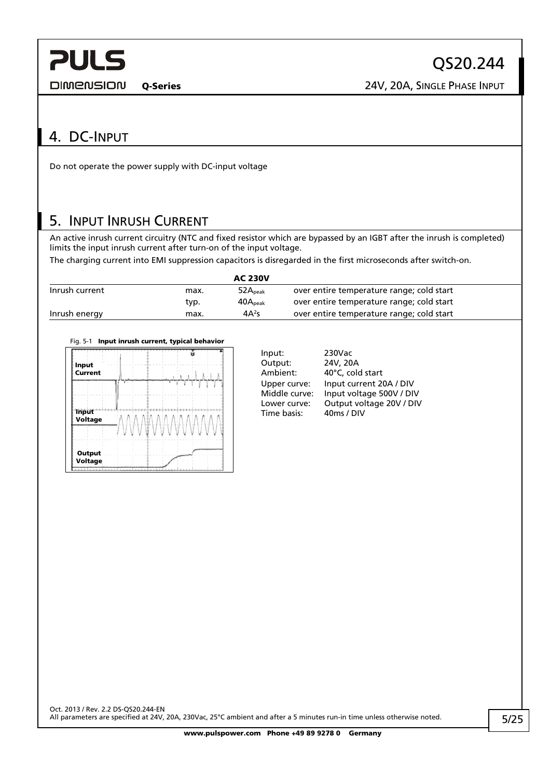<span id="page-4-0"></span>**DIMENSION** 

Q-Series 24V, 20A, SINGLE PHASE INPUT

QS20.244

## 4. DC-INPUT

Do not operate the power supply with DC-input voltage

## 5. INPUT INRUSH CURRENT

An active inrush current circuitry (NTC and fixed resistor which are bypassed by an IGBT after the inrush is completed) limits the input inrush current after turn-on of the input voltage.

The charging current into EMI suppression capacitors is disregarded in the first microseconds after switch-on.

|                |      | <b>AC 230V</b>      |                                           |
|----------------|------|---------------------|-------------------------------------------|
| Inrush current | max. | 52A <sub>peak</sub> | over entire temperature range; cold start |
|                | typ. | 40A <sub>peak</sub> | over entire temperature range; cold start |
| Inrush energy  | max. | $4A^2s$             | over entire temperature range; cold start |





| Input:        | 230Vac                   |
|---------------|--------------------------|
| Output:       | 24V, 20A                 |
| Ambient:      | 40°C, cold start         |
| Upper curve:  | Input current 20A / DIV  |
| Middle curve: | Input voltage 500V / DIV |
| Lower curve:  | Output voltage 20V / DIV |
| Time basis:   | 40ms / DIV               |
|               |                          |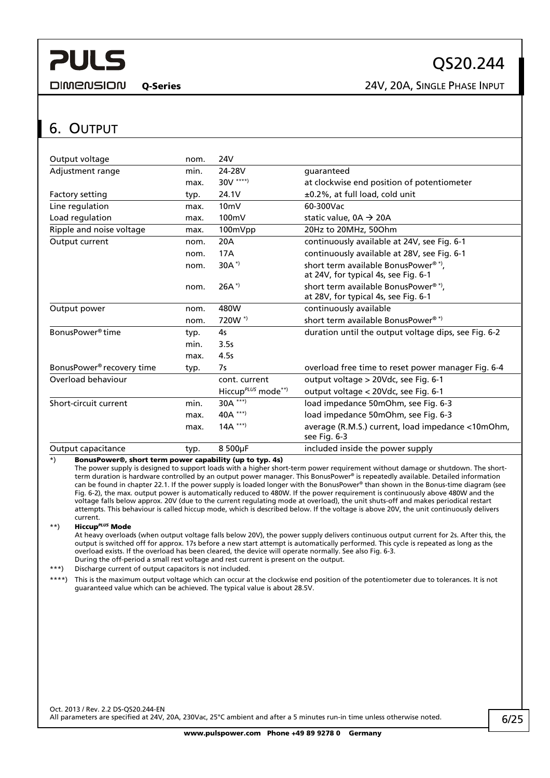<span id="page-5-0"></span>**DIMENSION** 

Q-Series 24V, 20A, SINGLE PHASE INPUT

## <span id="page-5-1"></span>6. OUTPUT

| Output voltage                        | nom. | 24V                            |                                                                                         |
|---------------------------------------|------|--------------------------------|-----------------------------------------------------------------------------------------|
| Adjustment range                      | min. | 24-28V                         | quaranteed                                                                              |
|                                       | max. | 30V ****)                      | at clockwise end position of potentiometer                                              |
| Factory setting                       | typ. | 24.1V                          | ±0.2%, at full load, cold unit                                                          |
| Line regulation                       | max. | 10 <sub>m</sub>                | 60-300Vac                                                                               |
| Load regulation                       | max. | 100mV                          | static value, $0A \rightarrow 20A$                                                      |
| Ripple and noise voltage              | max. | 100mVpp                        | 20Hz to 20MHz, 50Ohm                                                                    |
| Output current                        | nom. | 20A                            | continuously available at 24V, see Fig. 6-1                                             |
|                                       | nom. | 17A                            | continuously available at 28V, see Fig. 6-1                                             |
|                                       | nom. | $30A^{*}$                      | short term available BonusPower <sup>®*</sup> ,<br>at 24V, for typical 4s, see Fig. 6-1 |
|                                       | nom. | $26A^*$                        | short term available BonusPower <sup>®*</sup> ,<br>at 28V, for typical 4s, see Fig. 6-1 |
| Output power                          | nom. | 480W                           | continuously available                                                                  |
|                                       | nom. | 720W <sup>*</sup>              | short term available BonusPower <sup>®*)</sup>                                          |
| BonusPower <sup>®</sup> time          | typ. | 4s                             | duration until the output voltage dips, see Fig. 6-2                                    |
|                                       | min. | 3.5s                           |                                                                                         |
|                                       | max. | 4.5s                           |                                                                                         |
| BonusPower <sup>®</sup> recovery time | typ. | 7s                             | overload free time to reset power manager Fig. 6-4                                      |
| Overload behaviour                    |      | cont. current                  | output voltage > 20Vdc, see Fig. 6-1                                                    |
|                                       |      | Hiccup <sup>PLUS</sup> mode**) | output voltage < 20Vdc, see Fig. 6-1                                                    |
| Short-circuit current                 | min. | 30A ***)                       | load impedance 50mOhm, see Fig. 6-3                                                     |
|                                       | max. | 40A ***)                       | load impedance 50mOhm, see Fig. 6-3                                                     |
|                                       | max. | $14A$ ***)                     | average (R.M.S.) current, load impedance <10mOhm,<br>see Fig. 6-3                       |
| Output capacitance                    | typ. | 8 500µF                        | included inside the power supply                                                        |

\*) BonusPower®, short term power capability (up to typ. 4s)

The power supply is designed to support loads with a higher short-term power requirement without damage or shutdown. The shortterm duration is hardware controlled by an output power manager. This BonusPower® is repeatedly available. Detailed information can be found in chapter [22.1](#page-19-1). If the power supply is loaded longer with the BonusPower® than shown in the Bonus-time diagram (see [Fig. 6-2](#page-6-0)), the max. output power is automatically reduced to 480W. If the power requirement is continuously above 480W and the voltage falls below approx. 20V (due to the current regulating mode at overload), the unit shuts-off and makes periodical restart attempts. This behaviour is called hiccup mode, which is described below. If the voltage is above 20V, the unit continuously delivers current.

#### \*\*) Hiccup*PLUS* Mode

At heavy overloads (when output voltage falls below 20V), the power supply delivers continuous output current for 2s. After this, the output is switched off for approx. 17s before a new start attempt is automatically performed. This cycle is repeated as long as the overload exists. If the overload has been cleared, the device will operate normally. See also [Fig. 6-3.](#page-6-1) During the off-period a small rest voltage and rest current is present on the output.

\*\*\*) Discharge current of output capacitors is not included.

\*\*\*\*) This is the maximum output voltage which can occur at the clockwise end position of the potentiometer due to tolerances. It is not guaranteed value which can be achieved. The typical value is about 28.5V.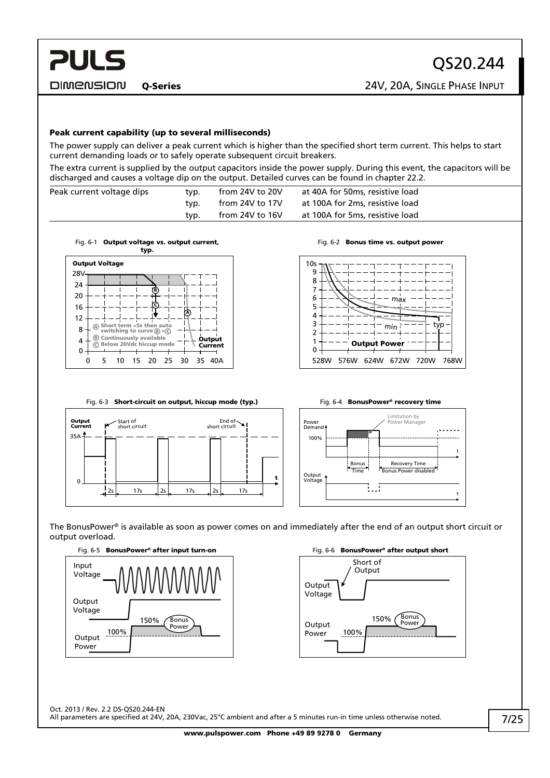Peak current capability (up to several milliseconds)

The power supply can deliver a peak current which is higher than the specified short term current. This helps to start current demanding loads or to safely operate subsequent circuit breakers.

The extra current is supplied by the output capacitors inside the power supply. During this event, the capacitors will be discharged and causes a voltage dip on the output. Detailed curves can be found in chapter [22.2.](#page-20-1)

| Peak current voltage dips | typ. | from 24V to 20V | at 40A for 50ms, resistive load |
|---------------------------|------|-----------------|---------------------------------|
|                           | tvp. | from 24V to 17V | at 100A for 2ms, resistive load |
|                           | typ. | from 24V to 16V | at 100A for 5ms, resistive load |



<span id="page-6-0"></span>

Fig. 6-2 Bonus time vs. output power



<span id="page-6-1"></span>



The BonusPower® is available as soon as power comes on and immediately after the end of an output short circuit or output overload.

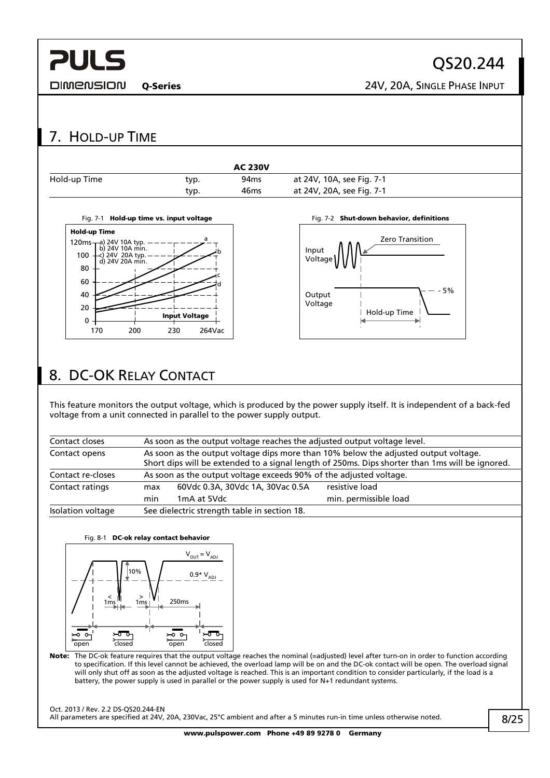<span id="page-7-0"></span>**DIMENSION** 

QS20.244

Q-Series 24V, 20A, SINGLE PHASE INPUT

#### <span id="page-7-2"></span><span id="page-7-1"></span>7. HOLD-UP TIME AC 230V Hold-up Time typ. 94ms at 24V, 10A, see [Fig. 7-1](#page-7-1) typ. 46ms at 24V, 20A, see [Fig. 7-1](#page-7-1) Fig. 7-1 Hold-up time vs. input voltage Fig. 7-2 Shut-down behavior, definitions Hold-up Time a Zero Transition 120ms a) 24V 10A typ. b) 24V 10A min. Input b 100 c) 24V 20A typ. d) 24V 20A min. Voltage 80 c  $60$ d - 5% 40 Output Voltage 20 Hold-up Time Input Voltage  $\Omega$ 170 200 230 264Vac 8. DC-OK RELAY CONTACT This feature monitors the output voltage, which is produced by the power supply itself. It is independent of a back-fed voltage from a unit connected in parallel to the power supply output. Contact closes As soon as the output voltage reaches the adjusted output voltage level. Contact opens As soon as the output voltage dips more than 10% below the adjusted output voltage. Short dips will be extended to a signal length of 250ms. Dips shorter than 1ms will be ignored. Contact re-closes As soon as the output voltage exceeds 90% of the adjusted voltage. Contact ratings max 60Vdc 0.3A, 30Vdc 1A, 30Vac 0.5A resistive load min 1mA at 5Vdc min. permissible load Isolation voltage See dielectric strength table in section [18.](#page-15-1) Fig. 8-1 DC-ok relay contact behavior  $V_{\text{OUT}} = V_{\text{ADI}}$ 10%  $0.9*V_{ADJ}$ < 1ms > 1ms 250ms  $-50$  $\frac{1}{2}$ -ಕಾ  $\overline{\circ}$ closed open closed open Note: The DC-ok feature requires that the output voltage reaches the nominal (=adjusted) level after turn-on in order to function according to specification. If this level cannot be achieved, the overload lamp will be on and the DC-ok contact will be open. The overload signal will only shut off as soon as the adjusted voltage is reached. This is an important condition to consider particularly, if the load is a battery, the power supply is used in parallel or the power supply is used for N+1 redundant systems. Oct. 2013 / Rev. 2.2 DS-QS20.244-EN All parameters are specified at 24V, 20A, 230Vac, 25°C ambient and after a 5 minutes run-in time unless otherwise noted.

8/25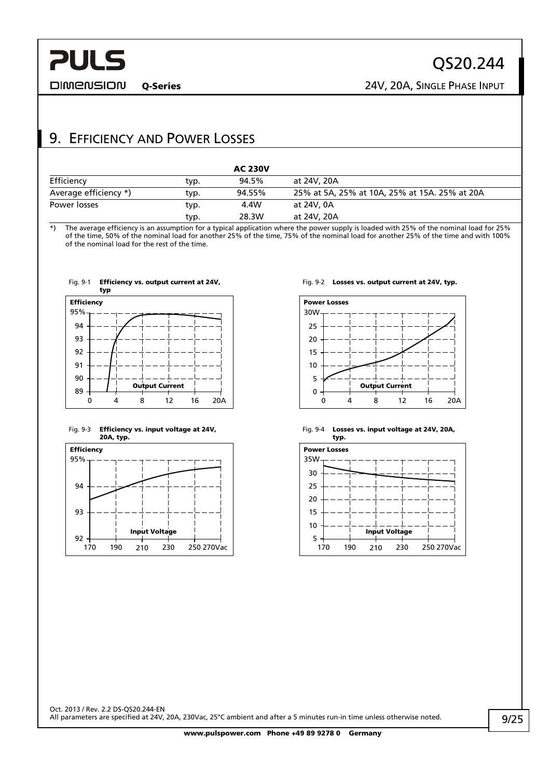<span id="page-8-0"></span>**DIMENSION** 

Q-Series 24V, 20A, SINGLE PHASE INPUT

## 9. EFFICIENCY AND POWER LOSSES

|                       |      | <b>AC 230V</b> |                                               |
|-----------------------|------|----------------|-----------------------------------------------|
| Efficiency            | typ. | 94.5%          | at 24V, 20A                                   |
| Average efficiency *) | typ. | 94.55%         | 25% at 5A, 25% at 10A, 25% at 15A, 25% at 20A |
| Power losses          | typ. | 4.4W           | at 24V, 0A                                    |
|                       | typ. | 28.3W          | at 24V, 20A                                   |

\*) The average efficiency is an assumption for a typical application where the power supply is loaded with 25% of the nominal load for 25% of the time, 50% of the nominal load for another 25% of the time, 75% of the nominal load for another 25% of the time and with 100% of the nominal load for the rest of the time.



#### Fig. 9-3 Efficiency vs. input voltage at 24V, 20A, typ.



#### Fig. 9-2 Losses vs. output current at 24V, typ.



#### Fig. 9-4 Losses vs. input voltage at 24V, 20A, typ.

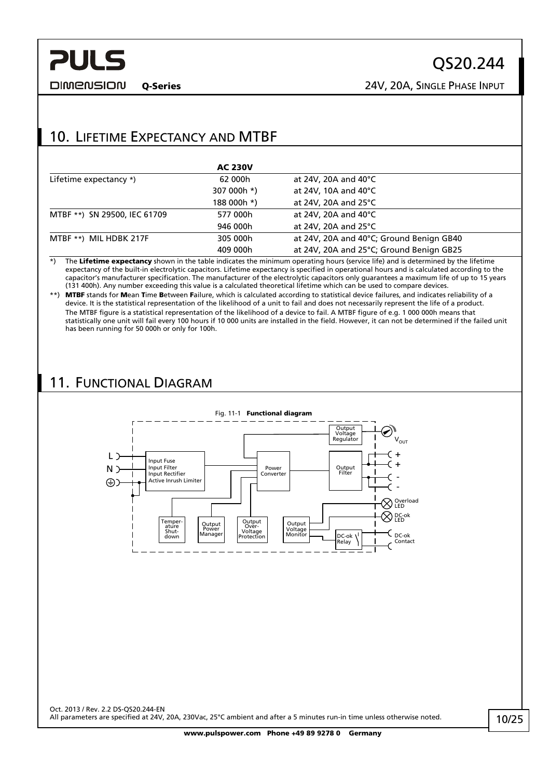<span id="page-9-0"></span>

Q-Series 24V, 20A, SINGLE PHASE INPUT

## 10. LIFETIME EXPECTANCY AND MTBF

|                              | <b>AC 230V</b> |                                          |
|------------------------------|----------------|------------------------------------------|
| Lifetime expectancy *)       | 62 000h        | at 24V, 20A and 40 $^{\circ}$ C          |
|                              | 307 000h *)    | at 24V, 10A and 40 $^{\circ}$ C          |
|                              | 188 000h *)    | at 24V, 20A and 25°C                     |
| MTBF **) SN 29500, IEC 61709 | 577 000h       | at 24V, 20A and 40°C                     |
|                              | 946 000h       | at 24V, 20A and 25 $\degree$ C           |
| MTBF **) MIL HDBK 217F       | 305 000h       | at 24V, 20A and 40°C; Ground Benign GB40 |
|                              | 409 000h       | at 24V, 20A and 25°C; Ground Benign GB25 |

\*) The Lifetime expectancy shown in the table indicates the minimum operating hours (service life) and is determined by the lifetime expectancy of the built-in electrolytic capacitors. Lifetime expectancy is specified in operational hours and is calculated according to the capacitor's manufacturer specification. The manufacturer of the electrolytic capacitors only guarantees a maximum life of up to 15 years (131 400h). Any number exceeding this value is a calculated theoretical lifetime which can be used to compare devices.

\*\*) MTBF stands for Mean Time Between Failure, which is calculated according to statistical device failures, and indicates reliability of a device. It is the statistical representation of the likelihood of a unit to fail and does not necessarily represent the life of a product. The MTBF figure is a statistical representation of the likelihood of a device to fail. A MTBF figure of e.g. 1 000 000h means that statistically one unit will fail every 100 hours if 10 000 units are installed in the field. However, it can not be determined if the failed unit has been running for 50 000h or only for 100h.

## 11. FUNCTIONAL DIAGRAM

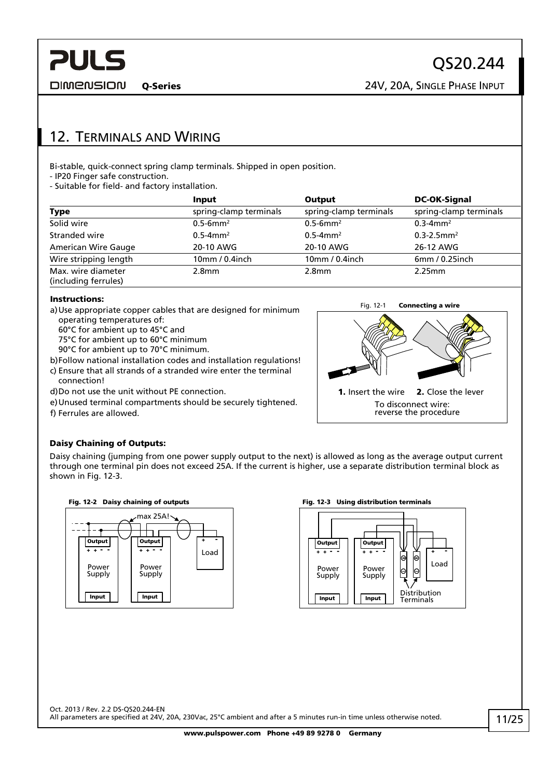<span id="page-10-0"></span>**DIMENSION** 

## 12. TERMINALS AND WIRING

Bi-stable, quick-connect spring clamp terminals. Shipped in open position.

- IP20 Finger safe construction.

- Suitable for field- and factory installation.

|                                            | <b>Input</b>              | Output                    | <b>DC-OK-Signal</b><br>spring-clamp terminals |  |
|--------------------------------------------|---------------------------|---------------------------|-----------------------------------------------|--|
| <b>Type</b>                                | spring-clamp terminals    | spring-clamp terminals    |                                               |  |
| Solid wire                                 | $0.5 - 6$ mm <sup>2</sup> | $0.5 - 6$ mm <sup>2</sup> | $0.3 - 4$ mm <sup>2</sup>                     |  |
| Stranded wire                              | $0.5 - 4$ mm <sup>2</sup> | $0.5 - 4$ mm <sup>2</sup> | $0.3 - 2.5$ mm <sup>2</sup>                   |  |
| <b>American Wire Gauge</b>                 | 20-10 AWG                 | 20-10 AWG                 | 26-12 AWG                                     |  |
| Wire stripping length                      | 10mm / 0.4inch            | 10mm/0.4inch              | 6mm / 0.25inch                                |  |
| Max. wire diameter<br>(including ferrules) | 2.8 <sub>mm</sub>         | 2.8 <sub>mm</sub>         | 2.25mm                                        |  |

#### Instructions:

- a) Use appropriate copper cables that are designed for minimum operating temperatures of:
	- 60°C for ambient up to 45°C and
	- 75°C for ambient up to 60°C minimum
	- 90°C for ambient up to 70°C minimum.
- b) Follow national installation codes and installation regulations!
- c) Ensure that all strands of a stranded wire enter the terminal connection!
- d) Do not use the unit without PE connection.
- e) Unused terminal compartments should be securely tightened. f) Ferrules are allowed.



#### Daisy Chaining of Outputs:

Daisy chaining (jumping from one power supply output to the next) is allowed as long as the average output current through one terminal pin does not exceed 25A. If the current is higher, use a separate distribution terminal block as shown in [Fig. 12-3.](#page-10-1)



<span id="page-10-1"></span>

#### Fig. 12-2 Daisy chaining of outputs Fig. 12-3 Using distribution terminals

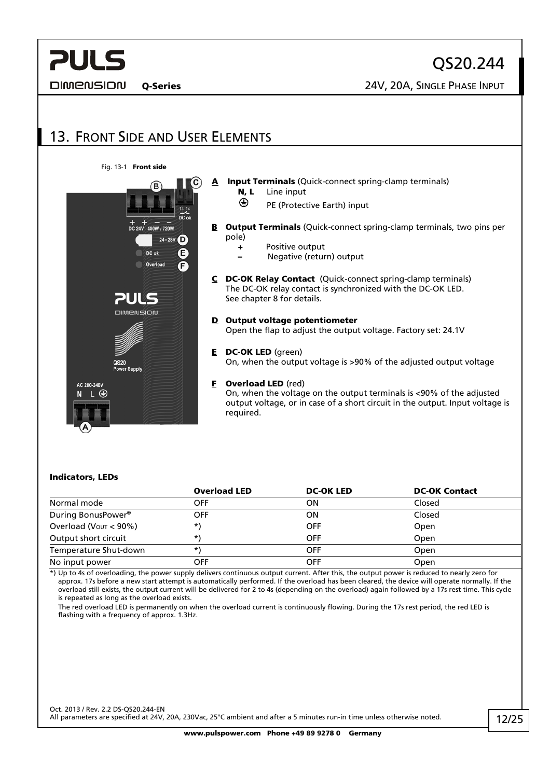<span id="page-11-0"></span>**DIMENSION** 

QS20.244

Q-Series 24V, 20A, SINGLE PHASE INPUT

## 13. FRONT SIDE AND USER ELEMENTS





### A Input Terminals (Quick-connect spring-clamp terminals) N, L Line input

- **E** PE (Protective Earth) input
- **B** Output Terminals (Quick-connect spring-clamp terminals, two pins per pole)
	- + Positive output
		- Negative (return) output
- C DC-OK Relay Contact (Quick-connect spring-clamp terminals) The DC-OK relay contact is synchronized with the DC-OK LED. See chapter [8](#page-7-2) for details.
- D Output voltage potentiometer Open the flap to adjust the output voltage. Factory set: 24.1V
- E DC-OK LED (green)

On, when the output voltage is >90% of the adjusted output voltage

F Overload LED (red)

On, when the voltage on the output terminals is <90% of the adjusted output voltage, or in case of a short circuit in the output. Input voltage is required.

#### Indicators, LEDs

|                                      | <b>Overload LED</b> | <b>DC-OK LED</b> | <b>DC-OK Contact</b> |
|--------------------------------------|---------------------|------------------|----------------------|
| Normal mode                          | OFF                 | OΝ               | Closed               |
| During BonusPower <sup>®</sup>       | OFF                 | ΟN               | Closed               |
| Overload ( $V_{\text{OUT}} < 90\%$ ) | *)                  | <b>OFF</b>       | Open                 |
| Output short circuit                 | *\                  | <b>OFF</b>       | Open                 |
| Temperature Shut-down                | *\                  | <b>OFF</b>       | Open                 |
| No input power                       | OFF                 | OFF              | Open                 |

\*) Up to 4s of overloading, the power supply delivers continuous output current. After this, the output power is reduced to nearly zero for approx. 17s before a new start attempt is automatically performed. If the overload has been cleared, the device will operate normally. If the overload still exists, the output current will be delivered for 2 to 4s (depending on the overload) again followed by a 17s rest time. This cycle is repeated as long as the overload exists.

 The red overload LED is permanently on when the overload current is continuously flowing. During the 17s rest period, the red LED is flashing with a frequency of approx. 1.3Hz.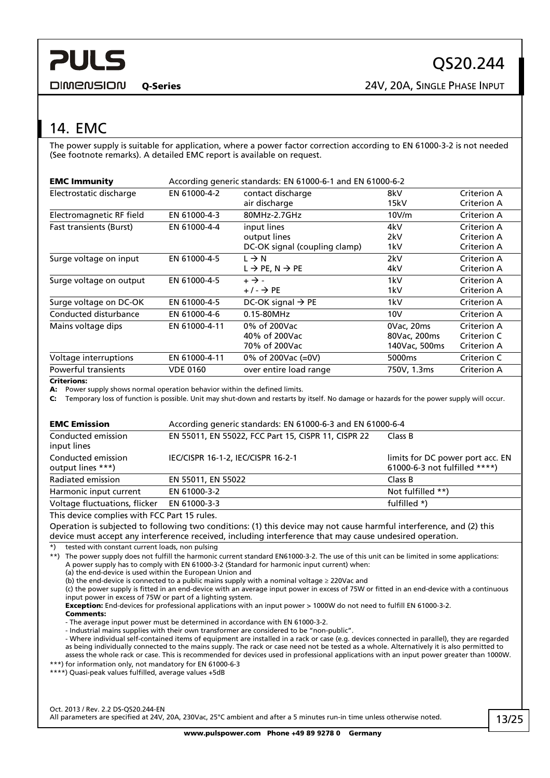<span id="page-12-0"></span>**DIMENSION** 

Q-Series 24V, 20A, SINGLE PHASE INPUT

## <span id="page-12-1"></span>14. EMC

The power supply is suitable for application, where a power factor correction according to EN 61000-3-2 is not needed (See footnote remarks). A detailed EMC report is available on request.

| <b>EMC Immunity</b>            | According generic standards: EN 61000-6-1 and EN 61000-6-2 |                                         |                    |                    |  |
|--------------------------------|------------------------------------------------------------|-----------------------------------------|--------------------|--------------------|--|
| Electrostatic discharge        | EN 61000-4-2                                               | contact discharge                       | 8kV                | Criterion A        |  |
|                                |                                                            | air discharge                           | 15kV               | <b>Criterion A</b> |  |
| Electromagnetic RF field       | EN 61000-4-3                                               | 80MHz-2.7GHz                            | 10V/m              | Criterion A        |  |
| <b>Fast transients (Burst)</b> | EN 61000-4-4                                               | input lines                             | 4kV                | Criterion A        |  |
|                                |                                                            | output lines                            | 2kV                | Criterion A        |  |
|                                |                                                            | DC-OK signal (coupling clamp)           | 1kV                | <b>Criterion A</b> |  |
| Surge voltage on input         | EN 61000-4-5                                               | $L \rightarrow N$                       | 2kV                | Criterion A        |  |
|                                |                                                            | $L \rightarrow PE$ , N $\rightarrow PE$ | 4kV                | Criterion A        |  |
| Surge voltage on output        | EN 61000-4-5                                               | $+ \rightarrow -$                       | 1kV                | Criterion A        |  |
|                                |                                                            | $+/ \rightarrow$ PE                     | 1kV                | <b>Criterion A</b> |  |
| Surge voltage on DC-OK         | EN 61000-4-5                                               | DC-OK signal $\rightarrow$ PE           | 1kV                | Criterion A        |  |
| Conducted disturbance          | EN 61000-4-6                                               | 0.15-80MHz                              | 10V                | Criterion A        |  |
| Mains voltage dips             | EN 61000-4-11                                              | 0% of 200Vac                            | 0Vac, 20ms         | <b>Criterion A</b> |  |
|                                |                                                            | 40% of 200Vac                           | 80Vac, 200ms       | Criterion C        |  |
|                                |                                                            | 70% of 200Vac                           | 140Vac, 500ms      | <b>Criterion A</b> |  |
| Voltage interruptions          | EN 61000-4-11                                              | 0% of 200Vac (=0V)                      | 5000 <sub>ms</sub> | Criterion C        |  |
| <b>Powerful transients</b>     | <b>VDE 0160</b>                                            | over entire load range                  | 750V, 1.3ms        | Criterion A        |  |
|                                |                                                            |                                         |                    |                    |  |

Criterions:

A: Power supply shows normal operation behavior within the defined limits.

C: Temporary loss of function is possible. Unit may shut-down and restarts by itself. No damage or hazards for the power supply will occur.

| <b>EMC Emission</b>                     | According generic standards: EN 61000-6-3 and EN 61000-6-4 |                                                                   |  |  |  |
|-----------------------------------------|------------------------------------------------------------|-------------------------------------------------------------------|--|--|--|
| Conducted emission<br>input lines       | EN 55011, EN 55022, FCC Part 15, CISPR 11, CISPR 22        | Class B                                                           |  |  |  |
| Conducted emission<br>output lines ***) | IEC/CISPR 16-1-2, IEC/CISPR 16-2-1                         | limits for DC power port acc. EN<br>61000-6-3 not fulfilled ****) |  |  |  |
| Radiated emission                       | EN 55011, EN 55022                                         | Class B                                                           |  |  |  |
| Harmonic input current                  | EN 61000-3-2                                               | Not fulfilled **)                                                 |  |  |  |
| Voltage fluctuations, flicker           | EN 61000-3-3                                               | fulfilled *)                                                      |  |  |  |

This device complies with FCC Part 15 rules.

Operation is subjected to following two conditions: (1) this device may not cause harmful interference, and (2) this device must accept any interference received, including interference that may cause undesired operation.

\*) tested with constant current loads, non pulsing

\*\*) The power supply does not fulfill the harmonic current standard EN61000-3-2. The use of this unit can be limited in some applications: A power supply has to comply with EN 61000-3-2 (Standard for harmonic input current) when: (a) the end-device is used within the European Union and

(b) the end-device is connected to a public mains supply with a nominal voltage ≥ 220Vac and

(c) the power supply is fitted in an end-device with an average input power in excess of 75W or fitted in an end-device with a continuous input power in excess of 75W or part of a lighting system.

Exception: End-devices for professional applications with an input power > 1000W do not need to fulfill EN 61000-3-2.

Comments:

- The average input power must be determined in accordance with EN 61000-3-2.

- Industrial mains supplies with their own transformer are considered to be "non-public".

- Where individual self-contained items of equipment are installed in a rack or case (e.g. devices connected in parallel), they are regarded as being individually connected to the mains supply. The rack or case need not be tested as a whole. Alternatively it is also permitted to assess the whole rack or case. This is recommended for devices used in professional applications with an input power greater than 1000W.

\*\*\*) for information only, not mandatory for EN 61000-6-3

\*\*\*\*) Quasi-peak values fulfilled, average values +5dB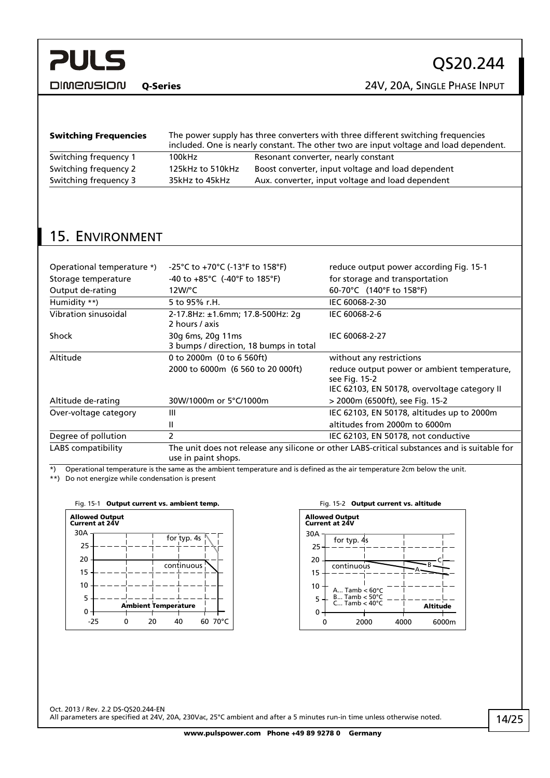<span id="page-13-0"></span>**DIMENSION** 

Q-Series 24V, 20A, SINGLE PHASE INPUT

| <b>Switching Frequencies</b> | The power supply has three converters with three different switching frequencies<br>included. One is nearly constant. The other two are input voltage and load dependent. |                                                   |  |  |
|------------------------------|---------------------------------------------------------------------------------------------------------------------------------------------------------------------------|---------------------------------------------------|--|--|
| Switching frequency 1        | 100kHz                                                                                                                                                                    | Resonant converter, nearly constant               |  |  |
| Switching frequency 2        | 125kHz to 510kHz                                                                                                                                                          | Boost converter, input voltage and load dependent |  |  |
| Switching frequency 3        | 35kHz to 45kHz                                                                                                                                                            | Aux. converter, input voltage and load dependent  |  |  |
|                              |                                                                                                                                                                           |                                                   |  |  |

## 15. ENVIRONMENT

| Operational temperature *)                                                                                                                                                                                                                                                                       | -25°C to +70°C (-13°F to 158°F)                                                                                     | reduce output power according Fig. 15-1                      |  |  |
|--------------------------------------------------------------------------------------------------------------------------------------------------------------------------------------------------------------------------------------------------------------------------------------------------|---------------------------------------------------------------------------------------------------------------------|--------------------------------------------------------------|--|--|
| Storage temperature                                                                                                                                                                                                                                                                              | $-40$ to $+85^{\circ}$ C ( $-40^{\circ}$ F to 185 $^{\circ}$ F)                                                     | for storage and transportation                               |  |  |
| Output de-rating                                                                                                                                                                                                                                                                                 | 12W/°C                                                                                                              | 60-70°C (140°F to 158°F)                                     |  |  |
| Humidity **)                                                                                                                                                                                                                                                                                     | 5 to 95% r.H.                                                                                                       | IEC 60068-2-30                                               |  |  |
| Vibration sinusoidal                                                                                                                                                                                                                                                                             | 2-17.8Hz: ±1.6mm; 17.8-500Hz: 2g<br>2 hours / axis                                                                  | IEC 60068-2-6                                                |  |  |
| Shock                                                                                                                                                                                                                                                                                            | 30g 6ms, 20g 11ms<br>3 bumps / direction, 18 bumps in total                                                         | IEC 60068-2-27                                               |  |  |
| Altitude                                                                                                                                                                                                                                                                                         | 0 to 2000m (0 to 6 560ft)                                                                                           | without any restrictions                                     |  |  |
|                                                                                                                                                                                                                                                                                                  | 2000 to 6000m (6 560 to 20 000ft)                                                                                   | reduce output power or ambient temperature,<br>see Fig. 15-2 |  |  |
|                                                                                                                                                                                                                                                                                                  |                                                                                                                     | IEC 62103, EN 50178, overvoltage category II                 |  |  |
| Altitude de-rating                                                                                                                                                                                                                                                                               | 30W/1000m or 5°C/1000m                                                                                              | > 2000m (6500ft), see Fig. 15-2                              |  |  |
| Over-voltage category                                                                                                                                                                                                                                                                            | Ш                                                                                                                   | IEC 62103, EN 50178, altitudes up to 2000m                   |  |  |
|                                                                                                                                                                                                                                                                                                  | Ш                                                                                                                   | altitudes from 2000m to 6000m                                |  |  |
| Degree of pollution                                                                                                                                                                                                                                                                              | 2                                                                                                                   | IEC 62103, EN 50178, not conductive                          |  |  |
| LABS compatibility                                                                                                                                                                                                                                                                               | The unit does not release any silicone or other LABS-critical substances and is suitable for<br>use in paint shops. |                                                              |  |  |
| $\mathbf{a}$ and $\mathbf{a}$ and $\mathbf{a}$ and $\mathbf{a}$ and $\mathbf{a}$ and $\mathbf{a}$ and $\mathbf{a}$ and $\mathbf{a}$ and $\mathbf{a}$ and $\mathbf{a}$ and $\mathbf{a}$ and $\mathbf{a}$ and $\mathbf{a}$ and $\mathbf{a}$ and $\mathbf{a}$ and $\mathbf{a}$ and $\mathbf{a}$ and | and the state of the state of the state of the state of the state of the state of the state of the state of the     |                                                              |  |  |

\*) Operational temperature is the same as the ambient temperature and is defined as the air temperature 2cm below the unit.

<span id="page-13-1"></span>\*\*) Do not energize while condensation is present





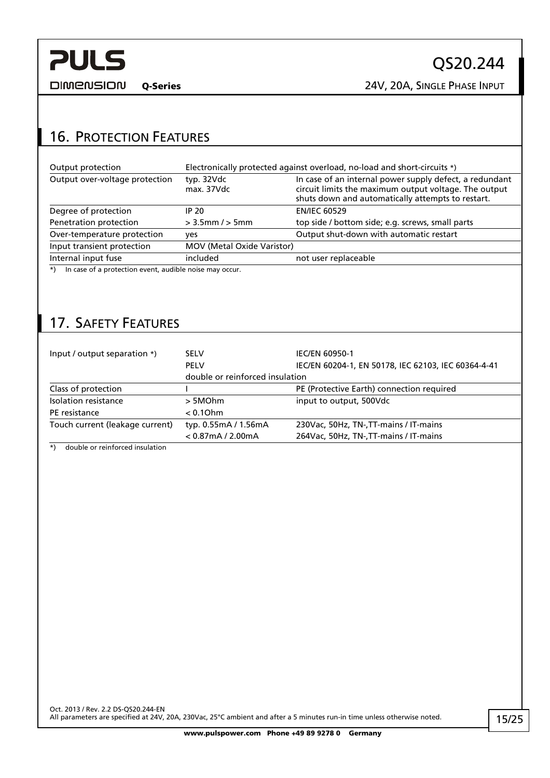<span id="page-14-0"></span>**DIMENSION** 

Q-Series 24V, 20A, SINGLE PHASE INPUT

## 16. PROTECTION FEATURES

| Output protection                                          | Electronically protected against overload, no-load and short-circuits *) |                                                                                                                                                                       |  |  |
|------------------------------------------------------------|--------------------------------------------------------------------------|-----------------------------------------------------------------------------------------------------------------------------------------------------------------------|--|--|
| Output over-voltage protection                             | typ. 32Vdc<br>max. 37Vdc                                                 | In case of an internal power supply defect, a redundant<br>circuit limits the maximum output voltage. The output<br>shuts down and automatically attempts to restart. |  |  |
| Degree of protection                                       | IP 20                                                                    | <b>EN/IEC 60529</b>                                                                                                                                                   |  |  |
| Penetration protection                                     | $> 3.5$ mm / $> 5$ mm                                                    | top side / bottom side; e.g. screws, small parts                                                                                                                      |  |  |
| Over-temperature protection                                | yes                                                                      | Output shut-down with automatic restart                                                                                                                               |  |  |
| Input transient protection                                 | <b>MOV (Metal Oxide Varistor)</b>                                        |                                                                                                                                                                       |  |  |
| Internal input fuse                                        | included                                                                 | not user replaceable                                                                                                                                                  |  |  |
| *) In case of a protection event, audible noise may occur. |                                                                          |                                                                                                                                                                       |  |  |

\*) In case of a protection event, audible noise may occur.

## 17. SAFETY FEATURES

| Input / output separation *)    | <b>SELV</b>                     | <b>IEC/EN 60950-1</b>                               |
|---------------------------------|---------------------------------|-----------------------------------------------------|
|                                 | <b>PELV</b>                     | IEC/EN 60204-1, EN 50178, IEC 62103, IEC 60364-4-41 |
|                                 | double or reinforced insulation |                                                     |
| Class of protection             |                                 | PE (Protective Earth) connection required           |
| Isolation resistance            | > 5MOhm                         | input to output, 500Vdc                             |
| PE resistance                   | $< 0.10$ hm                     |                                                     |
| Touch current (leakage current) | typ. 0.55mA / 1.56mA            | 230Vac, 50Hz, TN-, TT-mains / IT-mains              |
|                                 | $< 0.87$ mA $/ 2.00$ mA         | 264Vac, 50Hz, TN-, TT-mains / IT-mains              |

\*) double or reinforced insulation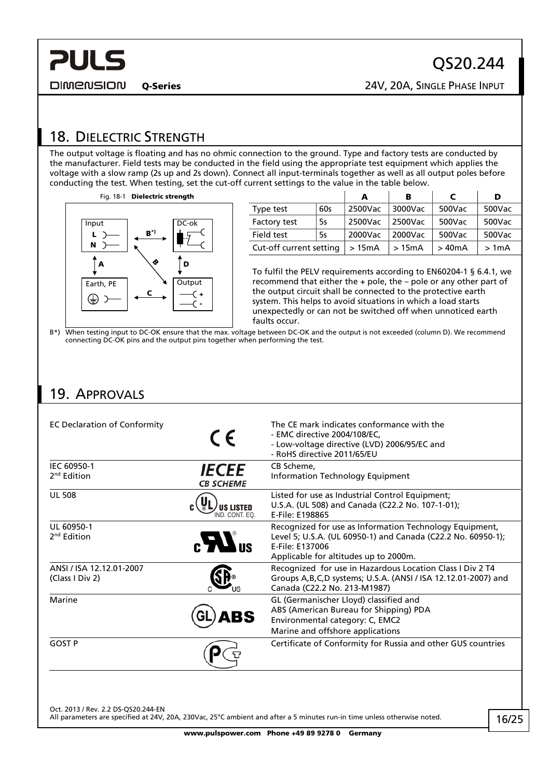<span id="page-15-0"></span>**DIMENSION** 

<span id="page-15-1"></span>18. DIELECTRIC STRENGTH

The output voltage is floating and has no ohmic connection to the ground. Type and factory tests are conducted by the manufacturer. Field tests may be conducted in the field using the appropriate test equipment which applies the voltage with a slow ramp (2s up and 2s down). Connect all input-terminals together as well as all output poles before conducting the test. When testing, set the cut-off current settings to the value in the table below.



|                         |     | А       | в       | C      | D      |
|-------------------------|-----|---------|---------|--------|--------|
| Type test               | 60s | 2500Vac | 3000Vac | 500Vac | 500Vac |
| Factory test            | 5s  | 2500Vac | 2500Vac | 500Vac | 500Vac |
| Field test              | 5s  | 2000Vac | 2000Vac | 500Vac | 500Vac |
| Cut-off current setting |     | >15mA   | >15mA   | >40mA  | >1mA   |

To fulfil the PELV requirements according to EN60204-1 § 6.4.1, we recommend that either the + pole, the – pole or any other part of the output circuit shall be connected to the protective earth system. This helps to avoid situations in which a load starts unexpectedly or can not be switched off when unnoticed earth faults occur.

B\*) When testing input to DC-OK ensure that the max. voltage between DC-OK and the output is not exceeded (column D). We recommend connecting DC-OK pins and the output pins together when performing the test.

## 19. APPROVALS

| <b>EC Declaration of Conformity</b>         | $\epsilon$                       | The CE mark indicates conformance with the<br>- EMC directive 2004/108/EC,<br>- Low-voltage directive (LVD) 2006/95/EC and<br>- RoHS directive 2011/65/EU                           |
|---------------------------------------------|----------------------------------|-------------------------------------------------------------------------------------------------------------------------------------------------------------------------------------|
| IEC 60950-1<br>$2nd$ Edition                | <b>IECEE</b><br><b>CB SCHEME</b> | CB Scheme,<br>Information Technology Equipment                                                                                                                                      |
| <b>UL 508</b>                               | <b>US LISTED</b><br>ND CONT FO   | Listed for use as Industrial Control Equipment;<br>U.S.A. (UL 508) and Canada (C22.2 No. 107-1-01);<br>E-File: E198865                                                              |
| UL 60950-1<br>2 <sup>nd</sup> Edition       | $_{\rm g}H_{\rm u}$              | Recognized for use as Information Technology Equipment,<br>Level 5; U.S.A. (UL 60950-1) and Canada (C22.2 No. 60950-1);<br>E-File: E137006<br>Applicable for altitudes up to 2000m. |
| ANSI / ISA 12.12.01-2007<br>(Class I Div 2) |                                  | Recognized for use in Hazardous Location Class I Div 2 T4<br>Groups A, B, C, D systems; U.S.A. (ANSI / ISA 12.12.01-2007) and<br>Canada (C22.2 No. 213-M1987)                       |
| Marine                                      |                                  | GL (Germanischer Lloyd) classified and<br>ABS (American Bureau for Shipping) PDA<br>Environmental category: C, EMC2<br>Marine and offshore applications                             |
| <b>GOST P</b>                               |                                  | Certificate of Conformity for Russia and other GUS countries                                                                                                                        |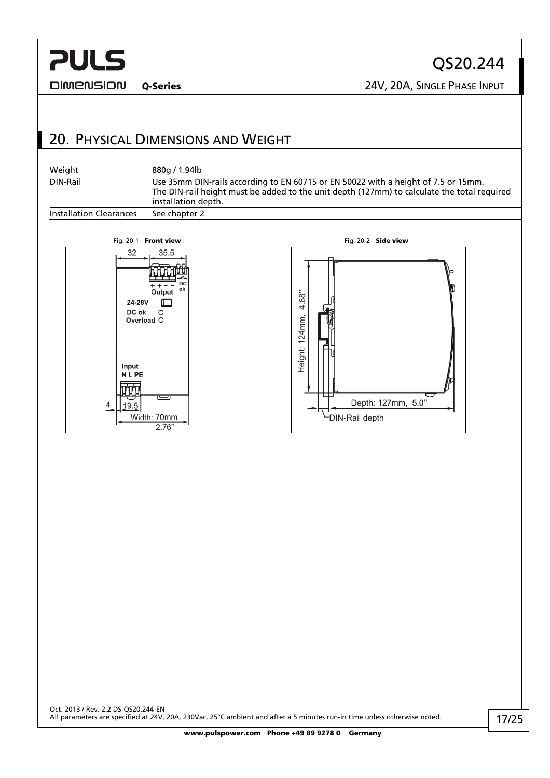<span id="page-16-0"></span>**DIMENSION** 

QS20.244 Q-Series 24V, 20A, SINGLE PHASE INPUT

## 20. PHYSICAL DIMENSIONS AND WEIGHT

| Weight                         | 880a / 1.94lb                                                                                                                                                                                            |
|--------------------------------|----------------------------------------------------------------------------------------------------------------------------------------------------------------------------------------------------------|
| DIN-Rail                       | Use 35mm DIN-rails according to EN 60715 or EN 50022 with a height of 7.5 or 15mm.<br>The DIN-rail height must be added to the unit depth (127mm) to calculate the total required<br>installation depth. |
| <b>Installation Clearances</b> | See chapter 2                                                                                                                                                                                            |



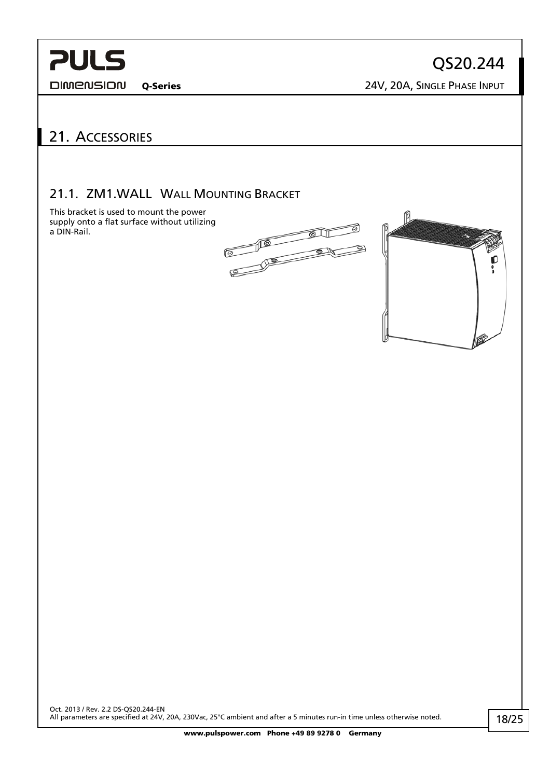<span id="page-17-0"></span>**DIMENSION** 

QS20.244 Q-Series 24V, 20A, SINGLE PHASE INPUT

## 21. ACCESSORIES

### 21.1. ZM1.WALL WALL MOUNTING BRACKET

This bracket is used to mount the power supply onto a flat surface without utilizing a DIN-Rail.



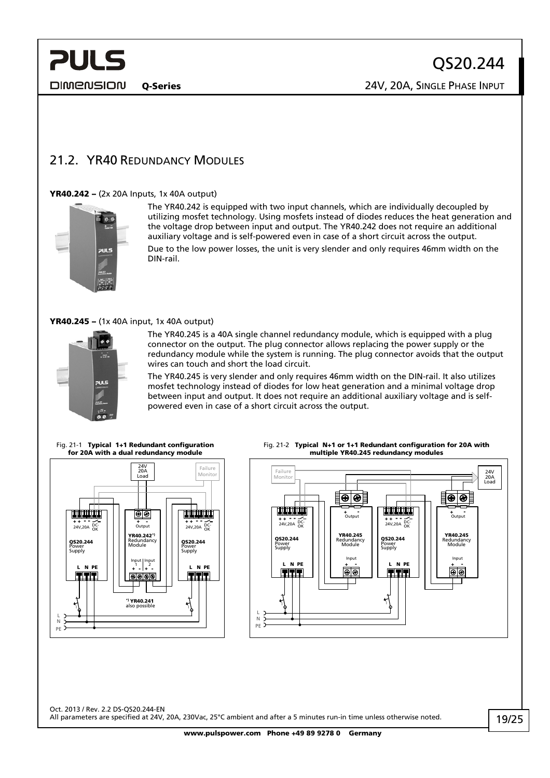<span id="page-18-0"></span>DIMENSION

Q-Series 24V, 20A, SINGLE PHASE INPUT

## 21.2. YR40 REDUNDANCY MODULES

#### YR40.242 – (2x 20A Inputs, 1x 40A output)



The YR40.242 is equipped with two input channels, which are individually decoupled by utilizing mosfet technology. Using mosfets instead of diodes reduces the heat generation and the voltage drop between input and output. The YR40.242 does not require an additional auxiliary voltage and is self-powered even in case of a short circuit across the output. Due to the low power losses, the unit is very slender and only requires 46mm width on the DIN-rail.

#### YR40.245 – (1x 40A input, 1x 40A output)



The YR40.245 is a 40A single channel redundancy module, which is equipped with a plug connector on the output. The plug connector allows replacing the power supply or the redundancy module while the system is running. The plug connector avoids that the output wires can touch and short the load circuit.

The YR40.245 is very slender and only requires 46mm width on the DIN-rail. It also utilizes mosfet technology instead of diodes for low heat generation and a minimal voltage drop between input and output. It does not require an additional auxiliary voltage and is selfpowered even in case of a short circuit across the output.

Fig. 21-1 Typical 1+1 Redundant configuration for 20A with a dual redundancy module







Oct. 2013 / Rev. 2.2 DS-QS20.244-EN All parameters are specified at 24V, 20A, 230Vac, 25°C ambient and after a 5 minutes run-in time unless otherwise noted.

www.pulspower.com Phone +49 89 9278 0 Germany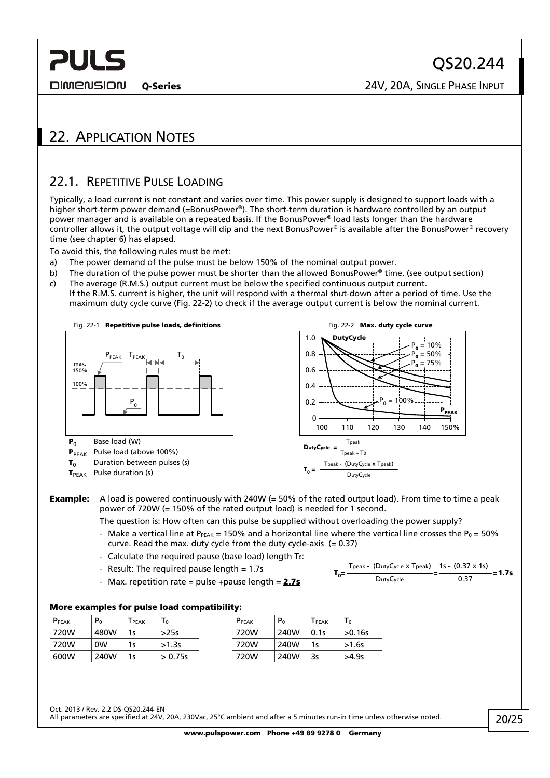<span id="page-19-0"></span>**DIMENSION** 

Q-Series 24V, 20A, SINGLE PHASE INPUT

## 22. APPLICATION NOTES

### <span id="page-19-1"></span>22.1. REPETITIVE PULSE LOADING

Typically, a load current is not constant and varies over time. This power supply is designed to support loads with a higher short-term power demand (=BonusPower®). The short-term duration is hardware controlled by an output power manager and is available on a repeated basis. If the BonusPower® load lasts longer than the hardware controller allows it, the output voltage will dip and the next BonusPower® is available after the BonusPower® recovery time (see chapter [6\)](#page-5-1) has elapsed.

To avoid this, the following rules must be met:

- a) The power demand of the pulse must be below 150% of the nominal output power.
- b) The duration of the pulse power must be shorter than the allowed BonusPower<sup>®</sup> time. (see output section)
- c) The average (R.M.S.) output current must be below the specified continuous output current. If the R.M.S. current is higher, the unit will respond with a thermal shut-down after a period of time. Use the
	- maximum duty cycle curve [\(Fig. 22-2\)](#page-19-2) to check if the average output current is below the nominal current.

<span id="page-19-2"></span>

Example: A load is powered continuously with 240W (= 50% of the rated output load). From time to time a peak power of 720W (= 150% of the rated output load) is needed for 1 second.

The question is: How often can this pulse be supplied without overloading the power supply?

- Make a vertical line at P<sub>PEAK</sub> = 150% and a horizontal line where the vertical line crosses the P<sub>0</sub> = 50% curve. Read the max. duty cycle from the duty cycle-axis  $(= 0.37)$
- Calculate the required pause (base load) length  $T_0$ :
- Result: The required pause length  $= 1.7s$
- Max. repetition rate = pulse +pause length =  $2.7s$

$$
T_0 = \frac{T_{\text{peak}} - (D_{\text{uty}}C_{\text{ycle}} \times T_{\text{peak}})}{D_{\text{uty}}C_{\text{ycle}}} = \frac{1s - (0.37 \times 1s)}{0.37} = 1.7s
$$

#### More examples for pulse load compatibility:

| PPEAK | P <sub>0</sub> | PEAK | $\mathbf{1} \mathbf{0}$ | PPEAK | P <sub>0</sub> | <b>PEAK</b> | Τo      |
|-------|----------------|------|-------------------------|-------|----------------|-------------|---------|
| 720W  | 480W           | 1s   | >25s                    | 720W  | 240W           | 0.1s        | >0.16s  |
| 720W  | 0W             | 1s   | >1.3s                   | 720W  | 240W           | 1s          | $>1.6s$ |
| 600W  | 240W           | 1s   | > 0.75s                 | 720W  | 240W           | 3s          | >4.9s   |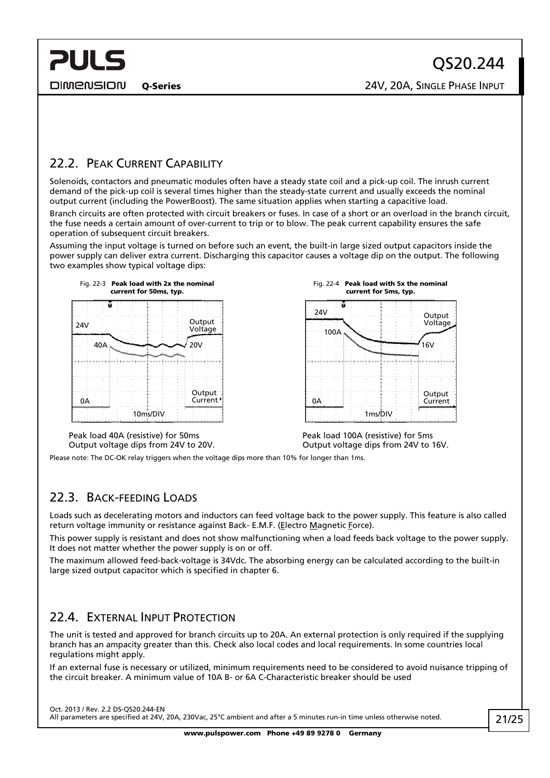<span id="page-20-0"></span>**PULS DIMENSION** 

Output Voltage

 $16V$ 

**Output Current** 

## <span id="page-20-1"></span>22.2. PEAK CURRENT CAPABILITY

Solenoids, contactors and pneumatic modules often have a steady state coil and a pick-up coil. The inrush current demand of the pick-up coil is several times higher than the steady-state current and usually exceeds the nominal output current (including the PowerBoost). The same situation applies when starting a capacitive load.

Branch circuits are often protected with circuit breakers or fuses. In case of a short or an overload in the branch circuit, the fuse needs a certain amount of over-current to trip or to blow. The peak current capability ensures the safe operation of subsequent circuit breakers.

Assuming the input voltage is turned on before such an event, the built-in large sized output capacitors inside the power supply can deliver extra current. Discharging this capacitor causes a voltage dip on the output. The following two examples show typical voltage dips:





Peak load 40A (resistive) for 50ms Output voltage dips from 24V to 20V.

Peak load 100A (resistive) for 5ms Output voltage dips from 24V to 16V.

Please note: The DC-OK relay triggers when the voltage dips more than 10% for longer than 1ms.

## 22.3. BACK-FEEDING LOADS

Loads such as decelerating motors and inductors can feed voltage back to the power supply. This feature is also called return voltage immunity or resistance against Back- E.M.F. (Electro Magnetic Force).

This power supply is resistant and does not show malfunctioning when a load feeds back voltage to the power supply. It does not matter whether the power supply is on or off.

The maximum allowed feed-back-voltage is 34Vdc. The absorbing energy can be calculated according to the built-in large sized output capacitor which is specified in chapter [6](#page-5-1).

### <span id="page-20-2"></span>22.4. EXTERNAL INPUT PROTECTION

The unit is tested and approved for branch circuits up to 20A. An external protection is only required if the supplying branch has an ampacity greater than this. Check also local codes and local requirements. In some countries local regulations might apply.

If an external fuse is necessary or utilized, minimum requirements need to be considered to avoid nuisance tripping of the circuit breaker. A minimum value of 10A B- or 6A C-Characteristic breaker should be used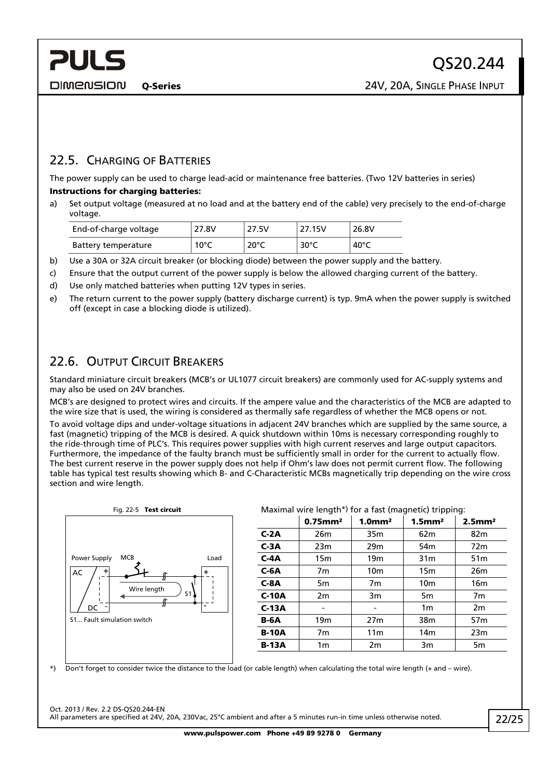## <span id="page-21-0"></span>22.5. CHARGING OF BATTERIES

The power supply can be used to charge lead-acid or maintenance free batteries. (Two 12V batteries in series) Instructions for charging batteries:

a) Set output voltage (measured at no load and at the battery end of the cable) very precisely to the end-of-charge voltage.

| End-of-charge voltage | 27.8V          | 27.5V          | 27.15V         | 26.8V           |
|-----------------------|----------------|----------------|----------------|-----------------|
| Battery temperature   | $10^{\circ}$ C | $20^{\circ}$ C | $30^{\circ}$ C | 40 $^{\circ}$ C |

- b) Use a 30A or 32A circuit breaker (or blocking diode) between the power supply and the battery.
- c) Ensure that the output current of the power supply is below the allowed charging current of the battery.
- d) Use only matched batteries when putting 12V types in series.
- e) The return current to the power supply (battery discharge current) is typ. 9mA when the power supply is switched off (except in case a blocking diode is utilized).

### 22.6. OUTPUT CIRCUIT BREAKERS

Standard miniature circuit breakers (MCB's or UL1077 circuit breakers) are commonly used for AC-supply systems and may also be used on 24V branches.

MCB's are designed to protect wires and circuits. If the ampere value and the characteristics of the MCB are adapted to the wire size that is used, the wiring is considered as thermally safe regardless of whether the MCB opens or not.

To avoid voltage dips and under-voltage situations in adjacent 24V branches which are supplied by the same source, a fast (magnetic) tripping of the MCB is desired. A quick shutdown within 10ms is necessary corresponding roughly to the ride-through time of PLC's. This requires power supplies with high current reserves and large output capacitors. Furthermore, the impedance of the faulty branch must be sufficiently small in order for the current to actually flow. The best current reserve in the power supply does not help if Ohm's law does not permit current flow. The following table has typical test results showing which B- and C-Characteristic MCBs magnetically trip depending on the wire cross section and wire length.



\*) Don't forget to consider twice the distance to the load (or cable length) when calculating the total wire length (+ and – wire).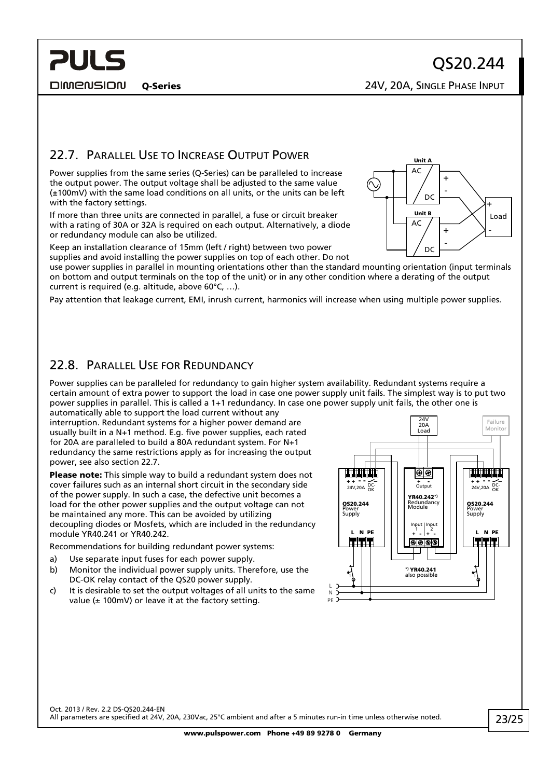**DIMENSION** 

<span id="page-22-0"></span>**PULS** 

Q-Series 24V, 20A, SINGLE PHASE INPUT

### <span id="page-22-1"></span>22.7. PARALLEL USE TO INCREASE OUTPUT POWER

Power supplies from the same series (Q-Series) can be paralleled to increase the output power. The output voltage shall be adjusted to the same value (±100mV) with the same load conditions on all units, or the units can be left with the factory settings.

If more than three units are connected in parallel, a fuse or circuit breaker with a rating of 30A or 32A is required on each output. Alternatively, a diode or redundancy module can also be utilized.

Keep an installation clearance of 15mm (left / right) between two power supplies and avoid installing the power supplies on top of each other. Do not

use power supplies in parallel in mounting orientations other than the standard mounting orientation (input terminals on bottom and output terminals on the top of the unit) or in any other condition where a derating of the output current is required (e.g. altitude, above 60°C, …).

Pay attention that leakage current, EMI, inrush current, harmonics will increase when using multiple power supplies.

### 22.8. PARALLEL USE FOR REDUNDANCY

Power supplies can be paralleled for redundancy to gain higher system availability. Redundant systems require a certain amount of extra power to support the load in case one power supply unit fails. The simplest way is to put two power supplies in parallel. This is called a 1+1 redundancy. In case one power supply unit fails, the other one is

automatically able to support the load current without any interruption. Redundant systems for a higher power demand are usually built in a N+1 method. E.g. five power supplies, each rated for 20A are paralleled to build a 80A redundant system. For N+1 redundancy the same restrictions apply as for increasing the output power, see also section [22.7](#page-22-1).

Please note: This simple way to build a redundant system does not cover failures such as an internal short circuit in the secondary side of the power supply. In such a case, the defective unit becomes a load for the other power supplies and the output voltage can not be maintained any more. This can be avoided by utilizing decoupling diodes or Mosfets, which are included in the redundancy module YR40.241 or YR40.242.

Recommendations for building redundant power systems:

- a) Use separate input fuses for each power supply.
- b) Monitor the individual power supply units. Therefore, use the DC-OK relay contact of the QS20 power supply.
- c) It is desirable to set the output voltages of all units to the same value ( $\pm$  100mV) or leave it at the factory setting.



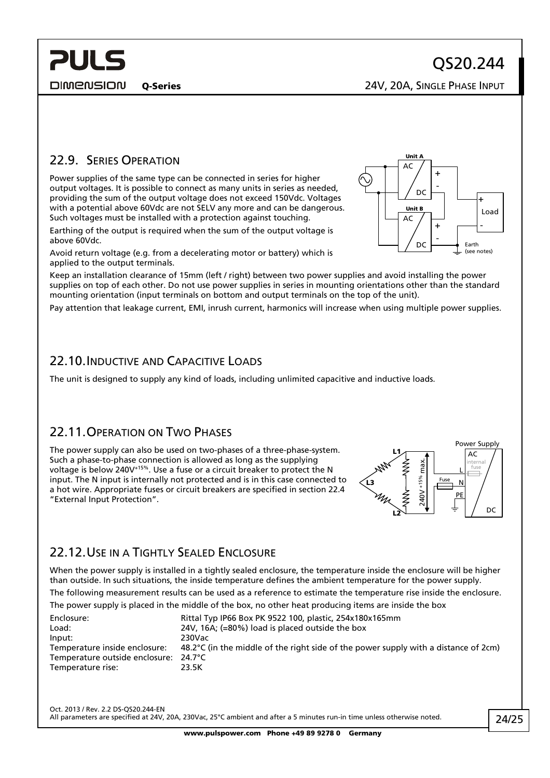Q-Series 24V, 20A, SINGLE PHASE INPUT

## <span id="page-23-0"></span>22.9. SERIES OPERATION

Power supplies of the same type can be connected in series for higher output voltages. It is possible to connect as many units in series as needed, providing the sum of the output voltage does not exceed 150Vdc. Voltages with a potential above 60Vdc are not SELV any more and can be dangerous. Such voltages must be installed with a protection against touching.

Earthing of the output is required when the sum of the output voltage is above 60Vdc.

Avoid return voltage (e.g. from a decelerating motor or battery) which is applied to the output terminals.

Keep an installation clearance of 15mm (left / right) between two power supplies and avoid installing the power supplies on top of each other. Do not use power supplies in series in mounting orientations other than the standard mounting orientation (input terminals on bottom and output terminals on the top of the unit).

Pay attention that leakage current, EMI, inrush current, harmonics will increase when using multiple power supplies.

### 22.10. INDUCTIVE AND CAPACITIVE LOADS

The unit is designed to supply any kind of loads, including unlimited capacitive and inductive loads.

### 22.11.OPERATION ON TWO PHASES

The power supply can also be used on two-phases of a three-phase-system. Such a phase-to-phase connection is allowed as long as the supplying voltage is below 240V+15%. Use a fuse or a circuit breaker to protect the N input. The N input is internally not protected and is in this case connected to a hot wire. Appropriate fuses or circuit breakers are specified in section [22.4](#page-20-2) "External Input Protection".



### 22.12.USE IN A TIGHTLY SEALED ENCLOSURE

When the power supply is installed in a tightly sealed enclosure, the temperature inside the enclosure will be higher than outside. In such situations, the inside temperature defines the ambient temperature for the power supply.

The following measurement results can be used as a reference to estimate the temperature rise inside the enclosure.

The power supply is placed in the middle of the box, no other heat producing items are inside the box

| Enclosure:                            | Rittal Typ IP66 Box PK 9522 100, plastic, 254x180x165mm                                       |
|---------------------------------------|-----------------------------------------------------------------------------------------------|
| Load:                                 | 24V, 16A; $(=80\%)$ load is placed outside the box                                            |
| Input:                                | 230Vac                                                                                        |
| Temperature inside enclosure:         | 48.2 $\degree$ C (in the middle of the right side of the power supply with a distance of 2cm) |
| Temperature outside enclosure: 24.7°C |                                                                                               |
| Temperature rise:                     | 23.5K                                                                                         |